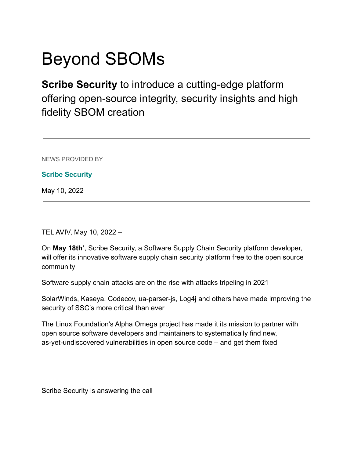## Beyond SBOMs

**Scribe Security** to introduce a cutting-edge platform offering open-source integrity, security insights and high fidelity SBOM creation

NEWS PROVIDED BY

**[Scribe Security](https://www.prnewswire.com/news/stitched-products/)**

May 10, 2022

TEL AVIV, May 10, 2022 –

On **May 18th'**, Scribe Security, a Software Supply Chain Security platform developer, will offer its innovative software supply chain security platform free to the open source community

Software supply chain attacks are on the rise with attacks tripeling in 2021

SolarWinds, Kaseya, Codecov, ua-parser-js, Log4j and others have made improving the security of SSC's more critical than ever

The Linux Foundation's Alpha Omega project has made it its mission to partner with open source software developers and maintainers to systematically find new, as-yet-undiscovered vulnerabilities in open source code – and get them fixed

Scribe Security is answering the call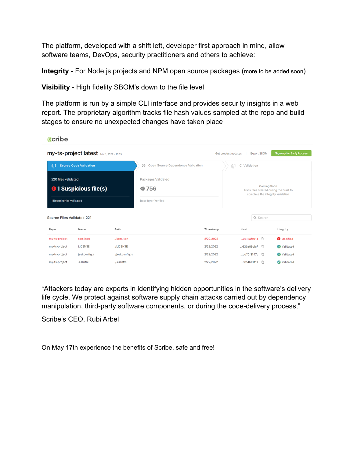The platform, developed with a shift left, developer first approach in mind, allow software teams, DevOps, security practitioners and others to achieve:

**Integrity** - For Node is projects and NPM open source packages (more to be added soon)

**Visibility** - High fidelity SBOM's down to the file level

The platform is run by a simple CLI interface and provides security insights in a web report. The proprietary algorithm tracks file hash values sampled at the repo and build stages to ensure no unexpected changes have taken place

| <b>Scribe</b>                                                                                                     |                |                  |                                                           |           |                                                                                                    |  |                   |
|-------------------------------------------------------------------------------------------------------------------|----------------|------------------|-----------------------------------------------------------|-----------|----------------------------------------------------------------------------------------------------|--|-------------------|
| my-ts-project:latest Mar 1, 2022 - 10:35<br><b>Sign-up for Early Access</b><br>Export SBOM<br>Get product updates |                |                  |                                                           |           |                                                                                                    |  |                   |
| 目<br><b>Source Code Validation</b>                                                                                |                |                  | Open Source Dependency Validation<br>ഝ                    | B         | CI Validation                                                                                      |  |                   |
| 220 files validated<br><b>0</b> 1 Suspicious file(s)<br>1 Repositories validated                                  |                |                  | Packages Validated<br>₾ 756<br><b>Base layer Verified</b> |           | <b>Coming Soon</b><br>Track files created during the build to<br>complete the integrity validation |  |                   |
| <b>Source Files Validated 221</b>                                                                                 |                |                  |                                                           |           | Q Search                                                                                           |  |                   |
| Repo                                                                                                              | Name           | Path             |                                                           | Timestamp | Hash                                                                                               |  | Integrity         |
| my-ts-project                                                                                                     | scm.json       | ./scm.json       |                                                           | 2/22/2022 | 0617afa01d <sup>[]</sup>                                                                           |  | <b>O</b> Modified |
| my-ts-project                                                                                                     | LICENSE        | ./LICENSE        |                                                           | 2/22/2022 |                                                                                                    |  | Validated         |
| my-ts-project                                                                                                     | jest.config.js | ./jest.config.js |                                                           | 2/22/2022 | bd70f8147c <sup></sup>                                                                             |  | Validated         |
| my-ts-project                                                                                                     | .eslintrc      | ./.eslintrc      |                                                           | 2/22/2022 |                                                                                                    |  | Validated         |

"Attackers today are experts in identifying hidden opportunities in the software's delivery life cycle. We protect against software supply chain attacks carried out by dependency manipulation, third-party software components, or during the code-delivery process,"

Scribe's CEO, Rubi Arbel

On May 17th experience the benefits of Scribe, safe and free!